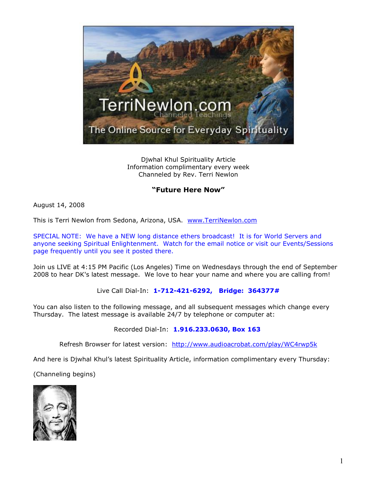

Djwhal Khul Spirituality Article Information complimentary every week Channeled by Rev. Terri Newlon

## **"Future Here Now"**

August 14, 2008

This is Terri Newlon from Sedona, Arizona, USA. [www.TerriNewlon.com](http://www.terrinewlon.com/)

SPECIAL NOTE: We have a NEW long distance ethers broadcast! It is for World Servers and anyone seeking Spiritual Enlightenment. Watch for the email notice or visit our Events/Sessions page frequently until you see it posted there.

Join us LIVE at 4:15 PM Pacific (Los Angeles) Time on Wednesdays through the end of September 2008 to hear DK's latest message. We love to hear your name and where you are calling from!

Live Call Dial-In: **1-712-421-6292, Bridge: 364377#**

You can also listen to the following message, and all subsequent messages which change every Thursday. The latest message is available 24/7 by telephone or computer at:

Recorded Dial-In: **1.916.233.0630, Box 163**

Refresh Browser for latest version: <http://www.audioacrobat.com/play/WC4rwp5k>

And here is Djwhal Khul's latest Spirituality Article, information complimentary every Thursday:

(Channeling begins)

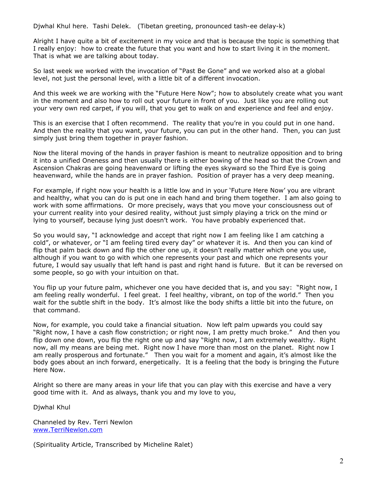Djwhal Khul here. Tashi Delek. (Tibetan greeting, pronounced tash-ee delay-k)

Alright I have quite a bit of excitement in my voice and that is because the topic is something that I really enjoy: how to create the future that you want and how to start living it in the moment. That is what we are talking about today.

So last week we worked with the invocation of "Past Be Gone" and we worked also at a global level, not just the personal level, with a little bit of a different invocation.

And this week we are working with the "Future Here Now"; how to absolutely create what you want in the moment and also how to roll out your future in front of you. Just like you are rolling out your very own red carpet, if you will, that you get to walk on and experience and feel and enjoy.

This is an exercise that I often recommend. The reality that you're in you could put in one hand. And then the reality that you want, your future, you can put in the other hand. Then, you can just simply just bring them together in prayer fashion.

Now the literal moving of the hands in prayer fashion is meant to neutralize opposition and to bring it into a unified Oneness and then usually there is either bowing of the head so that the Crown and Ascension Chakras are going heavenward or lifting the eyes skyward so the Third Eye is going heavenward, while the hands are in prayer fashion. Position of prayer has a very deep meaning.

For example, if right now your health is a little low and in your 'Future Here Now' you are vibrant and healthy, what you can do is put one in each hand and bring them together. I am also going to work with some affirmations. Or more precisely, ways that you move your consciousness out of your current reality into your desired reality, without just simply playing a trick on the mind or lying to yourself, because lying just doesn't work. You have probably experienced that.

So you would say, "I acknowledge and accept that right now I am feeling like I am catching a cold", or whatever, or "I am feeling tired every day" or whatever it is. And then you can kind of flip that palm back down and flip the other one up, it doesn't really matter which one you use, although if you want to go with which one represents your past and which one represents your future, I would say usually that left hand is past and right hand is future. But it can be reversed on some people, so go with your intuition on that.

You flip up your future palm, whichever one you have decided that is, and you say: "Right now, I am feeling really wonderful. I feel great. I feel healthy, vibrant, on top of the world." Then you wait for the subtle shift in the body. It's almost like the body shifts a little bit into the future, on that command.

Now, for example, you could take a financial situation. Now left palm upwards you could say "Right now, I have a cash flow constriction; or right now, I am pretty much broke." And then you flip down one down, you flip the right one up and say "Right now, I am extremely wealthy. Right now, all my means are being met. Right now I have more than most on the planet. Right now I am really prosperous and fortunate." Then you wait for a moment and again, it's almost like the body goes about an inch forward, energetically. It is a feeling that the body is bringing the Future Here Now.

Alright so there are many areas in your life that you can play with this exercise and have a very good time with it. And as always, thank you and my love to you,

Djwhal Khul

Channeled by Rev. Terri Newlon [www.TerriNewlon.com](http://www.terrinewlon.com/)

(Spirituality Article, Transcribed by Micheline Ralet)